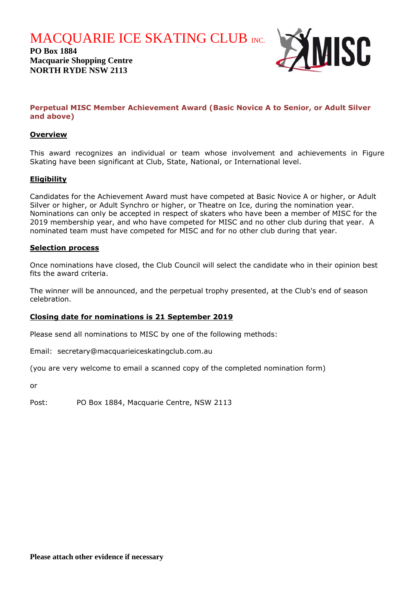**MACQUARIE ICE SKATING CLUB INC.** 

**PO Box 1884 Macquarie Shopping Centre NORTH RYDE NSW 2113**



# **Perpetual MISC Member Achievement Award (Basic Novice A to Senior, or Adult Silver and above)**

# **Overview**

This award recognizes an individual or team whose involvement and achievements in Figure Skating have been significant at Club, State, National, or International level.

### **Eligibility**

Candidates for the Achievement Award must have competed at Basic Novice A or higher, or Adult Silver or higher, or Adult Synchro or higher, or Theatre on Ice, during the nomination year. Nominations can only be accepted in respect of skaters who have been a member of MISC for the 2019 membership year, and who have competed for MISC and no other club during that year. A nominated team must have competed for MISC and for no other club during that year.

#### **Selection process**

Once nominations have closed, the Club Council will select the candidate who in their opinion best fits the award criteria.

The winner will be announced, and the perpetual trophy presented, at the Club's end of season celebration.

#### **Closing date for nominations is 21 September 2019**

Please send all nominations to MISC by one of the following methods:

Email: secretary@macquarieiceskatingclub.com.au

(you are very welcome to email a scanned copy of the completed nomination form)

or

Post: PO Box 1884, Macquarie Centre, NSW 2113